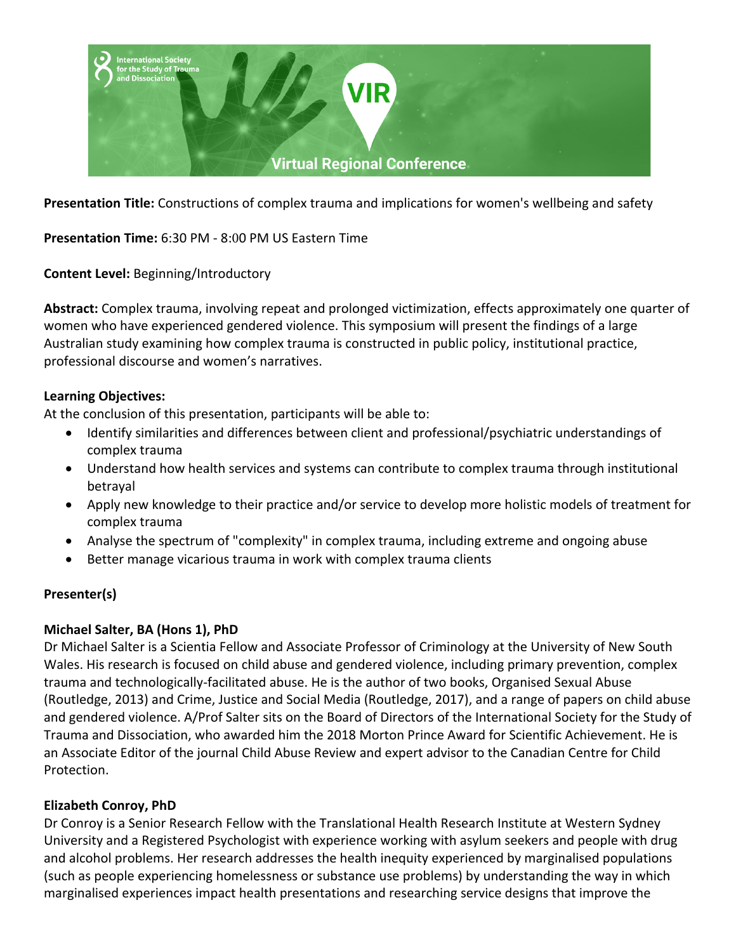

**Presentation Title:** Constructions of complex trauma and implications for women's wellbeing and safety

**Presentation Time:** 6:30 PM - 8:00 PM US Eastern Time

**Content Level:** Beginning/Introductory

**Abstract:** Complex trauma, involving repeat and prolonged victimization, effects approximately one quarter of women who have experienced gendered violence. This symposium will present the findings of a large Australian study examining how complex trauma is constructed in public policy, institutional practice, professional discourse and women's narratives.

#### **Learning Objectives:**

At the conclusion of this presentation, participants will be able to:

- Identify similarities and differences between client and professional/psychiatric understandings of complex trauma
- Understand how health services and systems can contribute to complex trauma through institutional betrayal
- Apply new knowledge to their practice and/or service to develop more holistic models of treatment for complex trauma
- Analyse the spectrum of "complexity" in complex trauma, including extreme and ongoing abuse
- Better manage vicarious trauma in work with complex trauma clients

## **Presenter(s)**

## **Michael Salter, BA (Hons 1), PhD**

Dr Michael Salter is a Scientia Fellow and Associate Professor of Criminology at the University of New South Wales. His research is focused on child abuse and gendered violence, including primary prevention, complex trauma and technologically-facilitated abuse. He is the author of two books, Organised Sexual Abuse (Routledge, 2013) and Crime, Justice and Social Media (Routledge, 2017), and a range of papers on child abuse and gendered violence. A/Prof Salter sits on the Board of Directors of the International Society for the Study of Trauma and Dissociation, who awarded him the 2018 Morton Prince Award for Scientific Achievement. He is an Associate Editor of the journal Child Abuse Review and expert advisor to the Canadian Centre for Child Protection.

## **Elizabeth Conroy, PhD**

Dr Conroy is a Senior Research Fellow with the Translational Health Research Institute at Western Sydney University and a Registered Psychologist with experience working with asylum seekers and people with drug and alcohol problems. Her research addresses the health inequity experienced by marginalised populations (such as people experiencing homelessness or substance use problems) by understanding the way in which marginalised experiences impact health presentations and researching service designs that improve the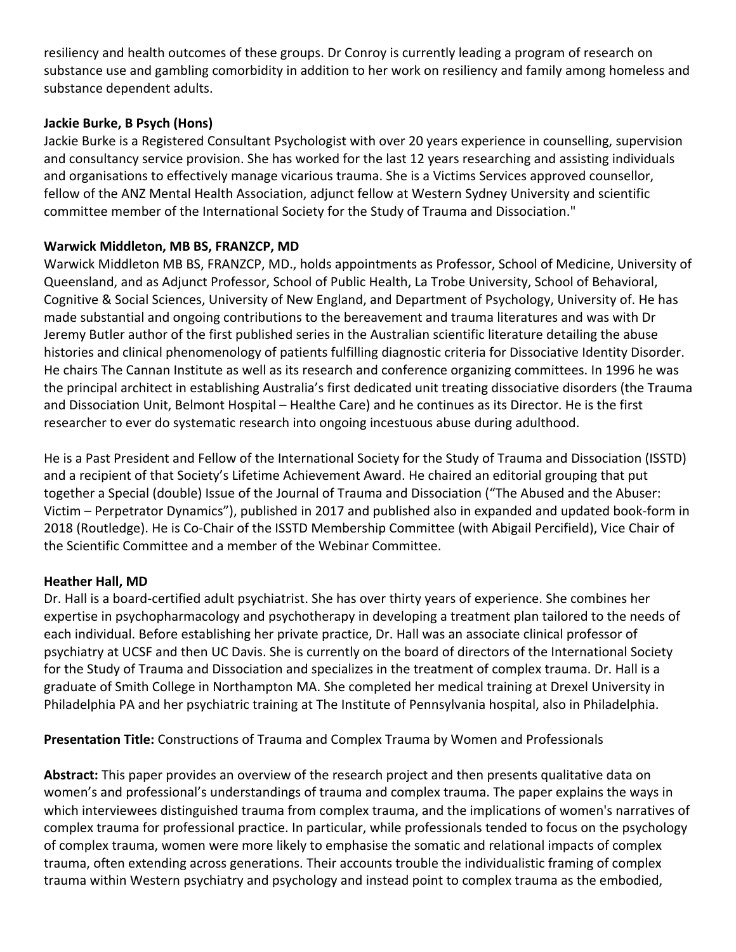resiliency and health outcomes of these groups. Dr Conroy is currently leading a program of research on substance use and gambling comorbidity in addition to her work on resiliency and family among homeless and substance dependent adults.

## **Jackie Burke, B Psych (Hons)**

Jackie Burke is a Registered Consultant Psychologist with over 20 years experience in counselling, supervision and consultancy service provision. She has worked for the last 12 years researching and assisting individuals and organisations to effectively manage vicarious trauma. She is a Victims Services approved counsellor, fellow of the ANZ Mental Health Association, adjunct fellow at Western Sydney University and scientific committee member of the International Society for the Study of Trauma and Dissociation."

## **Warwick Middleton, MB BS, FRANZCP, MD**

Warwick Middleton MB BS, FRANZCP, MD., holds appointments as Professor, School of Medicine, University of Queensland, and as Adjunct Professor, School of Public Health, La Trobe University, School of Behavioral, Cognitive & Social Sciences, University of New England, and Department of Psychology, University of. He has made substantial and ongoing contributions to the bereavement and trauma literatures and was with Dr Jeremy Butler author of the first published series in the Australian scientific literature detailing the abuse histories and clinical phenomenology of patients fulfilling diagnostic criteria for Dissociative Identity Disorder. He chairs The Cannan Institute as well as its research and conference organizing committees. In 1996 he was the principal architect in establishing Australia's first dedicated unit treating dissociative disorders (the Trauma and Dissociation Unit, Belmont Hospital – Healthe Care) and he continues as its Director. He is the first researcher to ever do systematic research into ongoing incestuous abuse during adulthood.

He is a Past President and Fellow of the International Society for the Study of Trauma and Dissociation (ISSTD) and a recipient of that Society's Lifetime Achievement Award. He chaired an editorial grouping that put together a Special (double) Issue of the Journal of Trauma and Dissociation ("The Abused and the Abuser: Victim – Perpetrator Dynamics"), published in 2017 and published also in expanded and updated book-form in 2018 (Routledge). He is Co-Chair of the ISSTD Membership Committee (with Abigail Percifield), Vice Chair of the Scientific Committee and a member of the Webinar Committee.

# **Heather Hall, MD**

Dr. Hall is a board-certified adult psychiatrist. She has over thirty years of experience. She combines her expertise in psychopharmacology and psychotherapy in developing a treatment plan tailored to the needs of each individual. Before establishing her private practice, Dr. Hall was an associate clinical professor of psychiatry at UCSF and then UC Davis. She is currently on the board of directors of the International Society for the Study of Trauma and Dissociation and specializes in the treatment of complex trauma. Dr. Hall is a graduate of Smith College in Northampton MA. She completed her medical training at Drexel University in Philadelphia PA and her psychiatric training at The Institute of Pennsylvania hospital, also in Philadelphia.

**Presentation Title:** Constructions of Trauma and Complex Trauma by Women and Professionals

**Abstract:** This paper provides an overview of the research project and then presents qualitative data on women's and professional's understandings of trauma and complex trauma. The paper explains the ways in which interviewees distinguished trauma from complex trauma, and the implications of women's narratives of complex trauma for professional practice. In particular, while professionals tended to focus on the psychology of complex trauma, women were more likely to emphasise the somatic and relational impacts of complex trauma, often extending across generations. Their accounts trouble the individualistic framing of complex trauma within Western psychiatry and psychology and instead point to complex trauma as the embodied,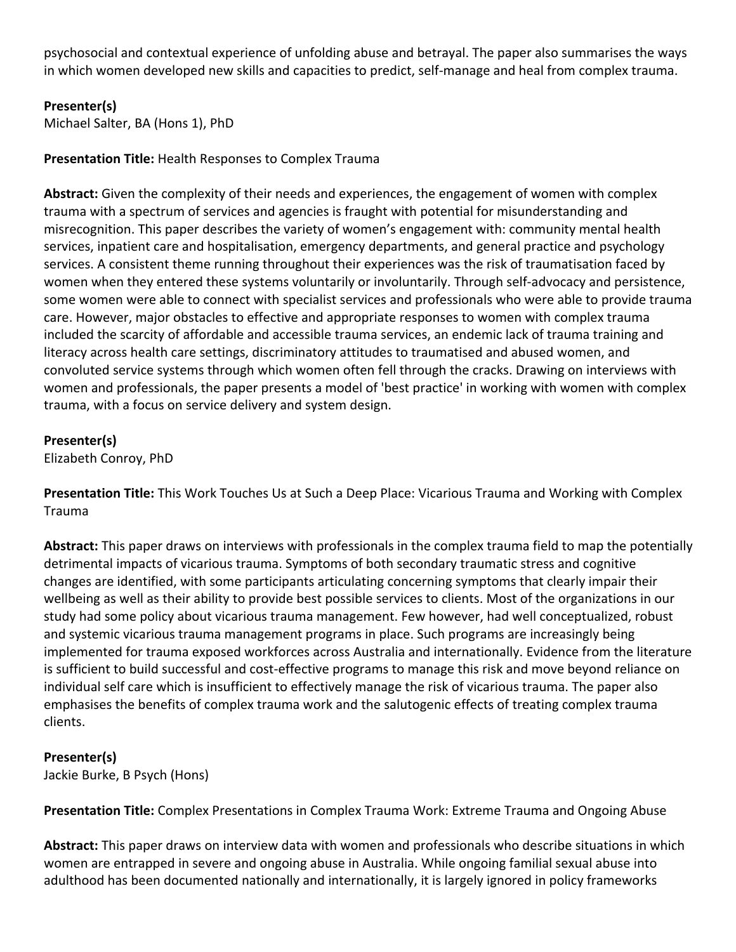psychosocial and contextual experience of unfolding abuse and betrayal. The paper also summarises the ways in which women developed new skills and capacities to predict, self-manage and heal from complex trauma.

## **Presenter(s)**

Michael Salter, BA (Hons 1), PhD

**Presentation Title:** Health Responses to Complex Trauma

**Abstract:** Given the complexity of their needs and experiences, the engagement of women with complex trauma with a spectrum of services and agencies is fraught with potential for misunderstanding and misrecognition. This paper describes the variety of women's engagement with: community mental health services, inpatient care and hospitalisation, emergency departments, and general practice and psychology services. A consistent theme running throughout their experiences was the risk of traumatisation faced by women when they entered these systems voluntarily or involuntarily. Through self-advocacy and persistence, some women were able to connect with specialist services and professionals who were able to provide trauma care. However, major obstacles to effective and appropriate responses to women with complex trauma included the scarcity of affordable and accessible trauma services, an endemic lack of trauma training and literacy across health care settings, discriminatory attitudes to traumatised and abused women, and convoluted service systems through which women often fell through the cracks. Drawing on interviews with women and professionals, the paper presents a model of 'best practice' in working with women with complex trauma, with a focus on service delivery and system design.

## **Presenter(s)**

Elizabeth Conroy, PhD

**Presentation Title:** This Work Touches Us at Such a Deep Place: Vicarious Trauma and Working with Complex Trauma

**Abstract:** This paper draws on interviews with professionals in the complex trauma field to map the potentially detrimental impacts of vicarious trauma. Symptoms of both secondary traumatic stress and cognitive changes are identified, with some participants articulating concerning symptoms that clearly impair their wellbeing as well as their ability to provide best possible services to clients. Most of the organizations in our study had some policy about vicarious trauma management. Few however, had well conceptualized, robust and systemic vicarious trauma management programs in place. Such programs are increasingly being implemented for trauma exposed workforces across Australia and internationally. Evidence from the literature is sufficient to build successful and cost-effective programs to manage this risk and move beyond reliance on individual self care which is insufficient to effectively manage the risk of vicarious trauma. The paper also emphasises the benefits of complex trauma work and the salutogenic effects of treating complex trauma clients.

# **Presenter(s)**

Jackie Burke, B Psych (Hons)

**Presentation Title:** Complex Presentations in Complex Trauma Work: Extreme Trauma and Ongoing Abuse

**Abstract:** This paper draws on interview data with women and professionals who describe situations in which women are entrapped in severe and ongoing abuse in Australia. While ongoing familial sexual abuse into adulthood has been documented nationally and internationally, it is largely ignored in policy frameworks